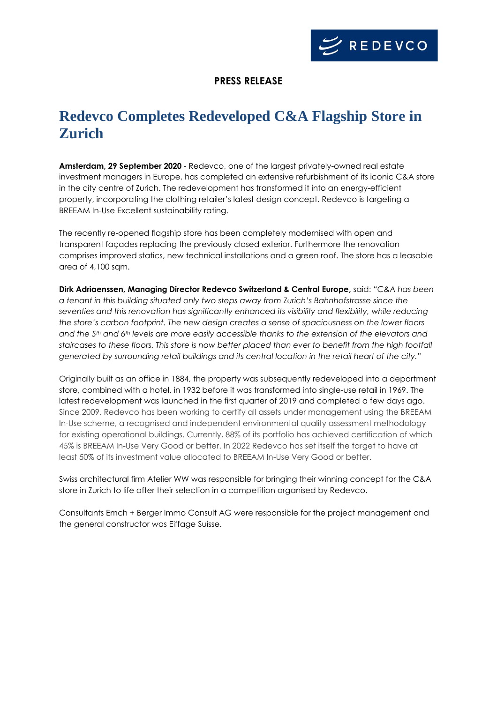

### **PRESS RELEASE**

# **Redevco Completes Redeveloped C&A Flagship Store in Zurich**

**Amsterdam, 29 September 2020** - Redevco, one of the largest privately-owned real estate investment managers in Europe, has completed an extensive refurbishment of its iconic C&A store in the city centre of Zurich. The redevelopment has transformed it into an energy-efficient property, incorporating the clothing retailer's latest design concept. Redevco is targeting a BREEAM In-Use Excellent sustainability rating.

The recently re-opened flagship store has been completely modernised with open and transparent façades replacing the previously closed exterior. Furthermore the renovation comprises improved statics, new technical installations and a green roof. The store has a leasable area of 4,100 sqm.

**Dirk Adriaenssen, Managing Director Redevco Switzerland & Central Europe,** said: *"C&A has been a tenant in this building situated only two steps away from Zurich's Bahnhofstrasse since the seventies and this renovation has significantly enhanced its visibility and flexibility, while reducing the store's carbon footprint. The new design creates a sense of spaciousness on the lower floors and the 5th and 6th levels are more easily accessible thanks to the extension of the elevators and staircases to these floors. This store is now better placed than ever to benefit from the high footfall generated by surrounding retail buildings and its central location in the retail heart of the city."* 

Originally built as an office in 1884, the property was subsequently redeveloped into a department store, combined with a hotel, in 1932 before it was transformed into single-use retail in 1969. The latest redevelopment was launched in the first quarter of 2019 and completed a few days ago. Since 2009, Redevco has been working to certify all assets under management using the BREEAM In-Use scheme, a recognised and independent environmental quality assessment methodology for existing operational buildings. Currently, 88% of its portfolio has achieved certification of which 45% is BREEAM In-Use Very Good or better. In 2022 Redevco has set itself the target to have at least 50% of its investment value allocated to BREEAM In-Use Very Good or better.

Swiss architectural firm Atelier WW was responsible for bringing their winning concept for the C&A store in Zurich to life after their selection in a competition organised by Redevco.

Consultants Emch + Berger Immo Consult AG were responsible for the project management and the general constructor was Eiffage Suisse.